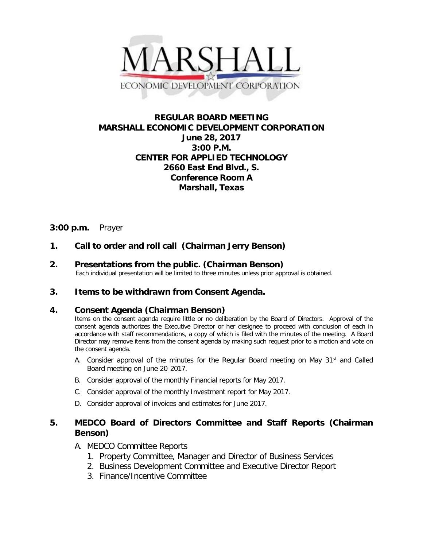

# **REGULAR BOARD MEETING MARSHALL ECONOMIC DEVELOPMENT CORPORATION June 28, 2017 3:00 P.M. CENTER FOR APPLIED TECHNOLOGY 2660 East End Blvd., S. Conference Room A Marshall, Texas**

# **3:00 p.m.** Prayer

# **1. Call to order and roll call (Chairman Jerry Benson)**

**2.** Presentations from the public. (Chairman Benson)<br>Each individual presentation will be limited to three minutes unless prior approval is obtained.

### **3. Items to be withdrawn from Consent Agenda.**

### **4. Consent Agenda (Chairman Benson)**

Items on the consent agenda require little or no deliberation by the Board of Directors. Approval of the consent agenda authorizes the Executive Director or her designee to proceed with conclusion of each in accordance with staff recommendations, a copy of which is filed with the minutes of the meeting. A Board Director may remove items from the consent agenda by making such request prior to a motion and vote on the consent agenda.

- A. Consider approval of the minutes for the Regular Board meeting on May  $31<sup>st</sup>$  and Called Board meeting on June 20, 2017.
- B. Consider approval of the monthly Financial reports for May 2017.
- C. Consider approval of the monthly Investment report for May 2017.
- D. Consider approval of invoices and estimates for June 2017.

# **5. MEDCO Board of Directors Committee and Staff Reports (Chairman Benson)**

## A. MEDCO Committee Reports

- 1. Property Committee, Manager and Director of Business Services
- 2. Business Development Committee and Executive Director Report
- 3. Finance/Incentive Committee